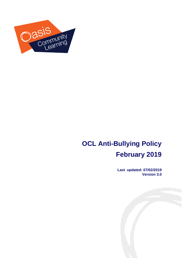

# **OCL Anti-Bullying Policy February 2019**

**Last updated: 07/02/2019 Version 3.0** 

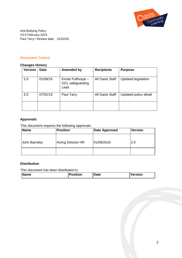

Anti-Bullying Policy V3.0 February 2019 Paul Tarry / Review date: 01/02/20

# Document Control

#### **Changes History**

| <b>Version</b> | <b>Date</b> | <b>Amended by</b>                               | <b>Recipients</b>      | <b>Purpose</b>        |
|----------------|-------------|-------------------------------------------------|------------------------|-----------------------|
| 2.0            | 01/09/16    | Kirstie Fulthorpe -<br>OCL safeguarding<br>Lead | All Oasis Staff        | Updated legislation   |
| 3.0            | 07/02/19    | Paul Tarry                                      | <b>All Oasis Staff</b> | Updated policy detail |
|                |             |                                                 |                        |                       |

#### **Approvals**

This document requires the following approvals.

| Name         | <b>Position</b>           | <b>Date Approved</b> | Version |
|--------------|---------------------------|----------------------|---------|
| John Barneby | <b>Acting Director HR</b> | 01/09/2016           | 2.0     |
|              |                           |                      |         |

#### **Distribution**

This document has been distributed to:

| <b>Name</b> | Position | Date | Version |
|-------------|----------|------|---------|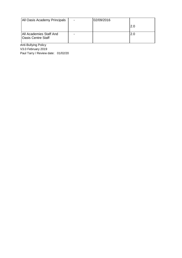| All Oasis Academy Principals                         | 02/09/2016 |     |
|------------------------------------------------------|------------|-----|
|                                                      |            | 2.0 |
| All Academies Staff And<br><b>Oasis Centre Staff</b> |            | 2.C |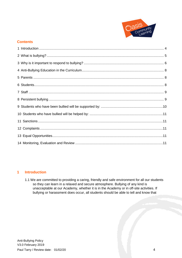

### **Contents**

#### <span id="page-3-0"></span> $\overline{1}$ **Introduction**

1.1 We are committed to providing a caring, friendly and safe environment for all our students so they can learn in a relaxed and secure atmosphere. Bullying of any kind is unacceptable at our Academy, whether it is in the Academy or in off-site activities. If bullying or harassment does occur, all students should be able to tell and know that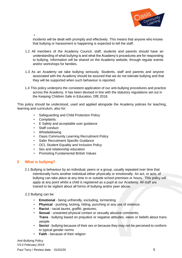

• incidents will be dealt with promptly and effectively. This means that anyone who knows that bullying or harassment is happening is expected to tell the staff.

- 1.2 All members of the Academy Council, staff, students and parents should have an understanding of what bullying is and what the Academy's procedures are for responding to bullying. Information will be shared on the Academy website, through regular events and/or workshops for families.
- 1.3 As an Academy we take bullying seriously. Students, staff and parents and anyone associated with the Academy should be assured that we do not tolerate bullying and that they will be supported when such behaviour is reported.
- 1.4 This policy underpins the consistent application of our anti-bullying procedures and practice across the Academy. It has been devised in line with the statutory regulations set out in the Keeping Children Safe in Education, DfE 2018.

This policy should be understood, used and applied alongside the Academy policies for teaching, learning and curriculum, also for:

- Safeguarding and Child Protection Policy
- Complaints
- E Safety and acceptable user quidance
- Staff conduct
- Whistleblowing
- Oasis Community Learning Recruitment Policy
- Safer Recruitment Specific Guidance
- OCL Student Equality and Inclusion Policy
- Sex and relationship education
- Promoting Fundamental British Values

#### <span id="page-4-0"></span>**2 What is bullying?**

- 2.1 Bullying is behaviour by an individual, peers or a group, usually repeated over time that intentionally hurts another individual either physically or emotionally. An act, or acts, of bullying can take place at any time in or outside school premises or hours. This policy will apply at any point whilst a child is registered as a pupil at our Academy. All staff are trained to be vigilant about all forms of bullying and/or peer abuse.
- 2.2 Bullying can be:
	- **Emotional** being unfriendly, excluding, tormenting
	- **Physical**  pushing, kicking, hitting, punching or any use of violence;
	- **Racist**  racial taunts, graffiti, gestures;
	- **Sexual** unwanted physical contact or sexually abusive comments; **Trans** - bullying based on prejudice or negative attitudes, views or beliefs about trans people
	- **Sexist**  bullying because of their sex or because they may not be perceived to conform to typical gender norms
	- **Faith**  because of their religion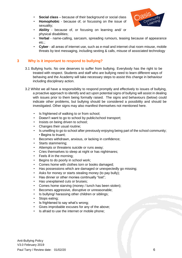- **Social class** because of their background or social class
- **Homophobic**  because of, or focussing on the issue of sexuality;



- **Ability**  because of, or focusing on learning and/ or physical disabilities;
- **Verbal**  name-calling, sarcasm, spreading rumours, teasing because of appearance etc.;
- **Cyber**  all areas of internet use, such as e-mail and internet chat room misuse, mobile threats by text messaging, including sexting & calls, misuse of associated technology

# <span id="page-5-0"></span>**3 Why is it important to respond to bullying?**

- 3.1 Bullying hurts. No one deserves to suffer from bullying. Everybody has the right to be treated with respect. Students and staff who are bullying need to learn different ways of behaving and the Academy will take necessary steps to assist this change in behaviour including disciplinary action.
- 3.2 Whilst we all have a responsibility to respond promptly and effectively to issues of bullying, a proactive approach to identify and act upon potential signs of bullying will assist in dealing with issues prior to them being formally raised. The signs and behaviours (below) could indicate other problems, but bullying should be considered a possibility and should be investigated. Other signs may also manifest themselves not mentioned here.
	- Is frightened of walking to or from school;
	- Doesn't want to go to school by public/school transport;
	- Insists on being driven to school;
	- Changes their usual routine;
	- Is unwilling to go to school after previously enjoying being part of the school community; • Begins to truant;
	- Becomes withdrawn, anxious, or lacking in confidence;
	- Starts stammering;
	- Attempts or threatens suicide or runs away;
	- Cries themselves to sleep at night or has nightmares;
	- Feels ill in the morning;
	- Begins to do poorly in school work;
	- Comes home with clothes torn or books damaged;
	- Has possessions which are damaged or unexpectedly go missing;
	- Asks for money or starts stealing money (to pay bully);
	- Has dinner or other monies continually "lost";
	- Has unexplained cuts or bruises;
	- Comes home starving (money / lunch has been stolen);
	- Becomes aggressive, disruptive or unreasonable;
	- Is bullying/ harassing other children or siblings;
	- Stops eating;
	- Is frightened to say what's wrong;
	- Gives improbable excuses for any of the above;
	- Is afraid to use the internet or mobile phone;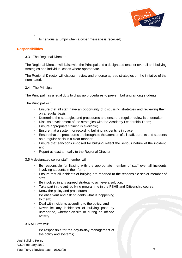

Is nervous & jumpy when a cyber message is received;

#### **Responsibilities**

•

#### 3.3 The Regional Director

The Regional Director will liaise with the Principal and a designated teacher over all anti-bullying strategies and individual cases where appropriate.

The Regional Director will discuss, review and endorse agreed strategies on the initiative of the nominated.

#### 3.4 The Principal

The Principal has a legal duty to draw up procedures to prevent bullying among students.

The Principal will:

- Ensure that all staff have an opportunity of discussing strategies and reviewing them on a regular basis;
- Determine the strategies and procedures and ensure a regular review is undertaken;
- Discuss development of the strategies with the Academy Leadership Team;
- Ensure appropriate training is available;
- Ensure that a system for recording bullying incidents is in place;
- Ensure that the procedures are brought to the attention of all staff, parents and students on a regular basis in a clear manner;
- Ensure that sanctions imposed for bullying reflect the serious nature of the incident; and
- Report at least annually to the Regional Director.

3.5 A designated senior staff member will:

- Be responsible for liaising with the appropriate member of staff over all incidents involving students in their form;
- Ensure that all incidents of bullying are reported to the responsible senior member of staff;
- Be involved in any agreed strategy to achieve a solution;
- Take part in the anti-bullying programme in the PSHE and Citizenship course;
- Know the policy and procedures;
- Be observant and ask students what is happening to them;
- Deal with incidents according to the policy; and
- Never let any incidences of bullying pass by unreported, whether on-site or during an off-site activity.

3.6 All Staff will:

Be responsible for the day-to-day management of the policy and systems;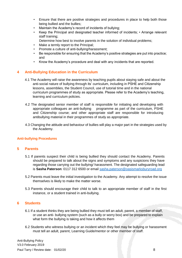- Ensure that there are positive strategies and procedures in place to help both those being bullied and the bullies;
- Maintain the Academy's record of incidents of bullying;
- Keep the Principal and designated teacher informed of incidents; Arrange relevant staff training;
	- Determine how best to involve parents in the solution of individual problems;
- Make a termly report to the Principal;
- Promote a culture of anti-bullying/harassment;
- Be responsible for ensuring that the Academy's positive strategies are put into practice; and
- Know the Academy's procedure and deal with any incidents that are reported.

# <span id="page-7-0"></span>**4 Anti-Bullying Education in the Curriculum**

- 4.1 The Academy will raise the awareness by teaching pupils about staying safe and about the anti-social nature of bullying through its' curriculum, including in PSHE and Citizenship lessons, assemblies, the Student Council, use of tutorial time and in the national curriculum programmes of study as appropriate. Please refer to the Academy's teaching, learning and curriculum policies.
- 4.2 The designated senior member of staff is responsible for initiating and developing with appropriate colleagues an anti-bullying programme as part of the curriculum, PSHE and Citizenship course; and other appropriate staff are responsible for introducing antibullying material in their programmes of study as appropriate.
- 4.3 Changing the attitude and behaviour of bullies will play a major part in the strategies used by the Academy.

#### **Anti-bullying Procedures**

#### <span id="page-7-1"></span>**5 Parents**

- 5.1 If parents suspect their child is being bullied they should contact the Academy. Parents should be prepared to talk about the signs and symptoms and any suspicions they have regarding those carrying out the bullying/ harassment. The designated safeguarding lead is **Sasha Paterson**: 0117 312 6500 or email [sasha.paterson@oasismarksburyroad.org](mailto:sasha.paterson@oasismarksburyroad.org)
- 5.2 Parents must leave the initial investigation to the Academy. Any attempt to resolve the issue themselves is likely to make the matter worse.
- 5.3 Parents should encourage their child to talk to an appropriate member of staff in the first instance, or a student trained in anti-bullying.

#### <span id="page-7-2"></span>**6 Students**

- 6.1 If a student thinks they are being bullied they must tell an adult, parent, a member of staff, or use an anti- bullying system (such as a bully or worry box) and be prepared to explain what form the bullying is taking and how it affects them
- 6.2 Students who witness bullying or an incident which they feel may be bullying or harassment must tell an adult, parent, Learning Guide/mentor or other member of staff.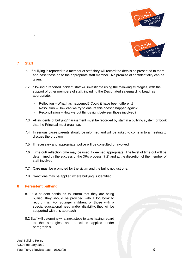



## <span id="page-8-0"></span>**7 Staff**

•

- 7.1 If bullying is reported to a member of staff they will record the details as presented to them and pass these on to the appropriate staff member. No promise of confidentiality can be given.
- 7.2 Following a reported incident staff will investigate using the following strategies, with the support of other members of staff, including the Designated safeguarding Lead, as appropriate:
	- Reflection What has happened? Could it have been different?
	- Resolution How can we try to ensure this doesn't happen again?
	- Reconciliation How we put things right between those involved?
- 7.3 All incidents of bullying/ harassment must be recorded by staff in a bullying system or book that the Principal must organise.
- 7.4 In serious cases parents should be informed and will be asked to come in to a meeting to discuss the problem.
- 7.5 If necessary and appropriate, police will be consulted or involved.
- 7.6 Time out/ reflection time may be used if deemed appropriate. The level of time out will be determined by the success of the 3Rs process (7.2) and at the discretion of the member of staff involved.
- 7.7 Care must be promoted for the victim and the bully, not just one.
- 7.8 Sanctions may be applied where bullying is identified.

#### <span id="page-8-1"></span>**8 Persistent bullying**

- 8.1 If a student continues to inform that they are being bullied, they should be provided with a log book to record this. For younger children, or those with a special educational need and/or disability, they will be supported with this approach
- 8.2 Staff will determine what next steps to take having regard to the strategies and sanctions applied under paragraph 9.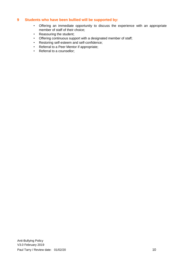### <span id="page-9-0"></span>**9 Students who have been bullied will be supported by:**

- Offering an immediate opportunity to discuss the experience with an appropriate member of staff of their choice;
- Reassuring the student;
- Offering continuous support with a designated member of staff;
- Restoring self-esteem and self-confidence;
- Referral to a Peer Mentor if appropriate;
- Referral to a counsellor;